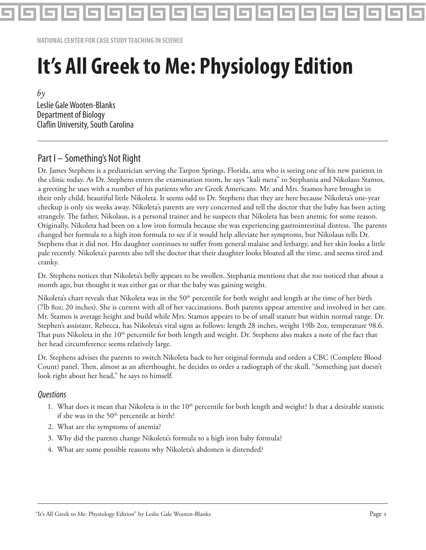

**NATIONAL CENTER FOR CASE STUDY TEACHING IN SCIENCE**

# **It's All Greek to Me: Physiology Edition**

 $b\gamma$ Leslie Gale Wooten-Blanks Department of Biology Claflin University, South Carolina

# Part I – Something's Not Right

Dr. James Stephens is a pediatrician serving the Tarpon Springs, Florida, area who is seeing one of his new patients in the clinic today. As Dr. Stephens enters the examination room, he says "kali mera" to Stephania and Nikolaus Stamos, a greeting he uses with a number of his patients who are Greek Americans. Mr. and Mrs. Stamos have brought in their only child, beautiful little Nikoleta. It seems odd to Dr. Stephens that they are here because Nikoleta's one-year checkup is only six weeks away. Nikoleta's parents are very concerned and tell the doctor that the baby has been acting strangely. The father, Nikolaus, is a personal trainer and he suspects that Nikoleta has been anemic for some reason. Originally, Nikoleta had been on a low iron formula because she was experiencing gastrointestinal distress. The parents changed her formula to a high iron formula to see if it would help alleviate her symptoms, but Nikolaus tells Dr. Stephens that it did not. His daughter continues to suffer from general malaise and lethargy, and her skin looks a little pale recently. Nikoleta's parents also tell the doctor that their daughter looks bloated all the time, and seems tired and cranky.

Dr. Stephens notices that Nikoleta's belly appears to be swollen. Stephania mentions that she too noticed that about a month ago, but thought it was either gas or that the baby was gaining weight.

Nikoleta's chart reveals that Nikoleta was in the 50<sup>th</sup> percentile for both weight and length at the time of her birth (7lb 8oz; 20 inches). She is current with all of her vaccinations. Both parents appear attentive and involved in her care. Mr. Stamos is average height and build while Mrs. Stamos appears to be of small stature but within normal range. Dr. Stephen's assistant, Rebecca, has Nikoleta's vital signs as follows: length 28 inches, weight 19lb 2oz, temperature 98.6. That puts Nikoleta in the 10<sup>th</sup> percentile for both length and weight. Dr. Stephens also makes a note of the fact that her head circumference seems relatively large.

Dr. Stephens advises the parents to switch Nikoleta back to her original formula and orders a CBC (Complete Blood Count) panel. Then, almost as an afterthought, he decides to order a radiograph of the skull. "Something just doesn't look right about her head," he says to himself.

#### **Ouestions**

- 1. What does it mean that Nikoleta is in the  $10<sup>th</sup>$  percentile for both length and weight? Is that a desirable statistic if she was in the  $50<sup>th</sup>$  percentile at birth?
- 2. What are the symptoms of anemia?
- 3. Why did the parents change Nikoleta's formula to a high iron baby formula?
- 4. What are some possible reasons why Nikoleta's abdomen is distended?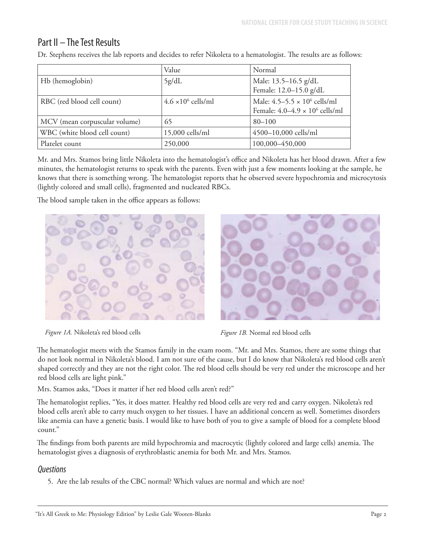# Part II – The Test Results

|                               | Value                      | Normal                                 |
|-------------------------------|----------------------------|----------------------------------------|
| Hb (hemoglobin)               | 5g/dL                      | Male: 13.5-16.5 g/dL                   |
|                               |                            | Female: 12.0-15.0 g/dL                 |
| RBC (red blood cell count)    | $4.6 \times 10^6$ cells/ml | Male: $4.5 - 5.5 \times 10^6$ cells/ml |
|                               |                            | Female: $4.0-4.9 \times 10^6$ cells/ml |
| MCV (mean corpuscular volume) | 65                         | $80 - 100$                             |
| WBC (white blood cell count)  | 15,000 cells/ml            | 4500-10,000 cells/ml                   |
| Platelet count                | 250,000                    | 100,000-450,000                        |

Dr. Stephens receives the lab reports and decides to refer Nikoleta to a hematologist. The results are as follows:

Mr. and Mrs. Stamos bring little Nikoleta into the hematologist's office and Nikoleta has her blood drawn. After a few minutes, the hematologist returns to speak with the parents. Even with just a few moments looking at the sample, he knows that there is something wrong. The hematologist reports that he observed severe hypochromia and microcytosis (lightly colored and small cells), fragmented and nucleated RBCs.

The blood sample taken in the office appears as follows:



*Figure 1A.* Nikoleta's red blood cells *Figure 1B.* Normal red blood cells



The hematologist meets with the Stamos family in the exam room. "Mr. and Mrs. Stamos, there are some things that do not look normal in Nikoleta's blood. I am not sure of the cause, but I do know that Nikoleta's red blood cells aren't shaped correctly and they are not the right color. The red blood cells should be very red under the microscope and her red blood cells are light pink."

Mrs. Stamos asks, "Does it matter if her red blood cells aren't red?"

The hematologist replies, "Yes, it does matter. Healthy red blood cells are very red and carry oxygen. Nikoleta's red blood cells aren't able to carry much oxygen to her tissues. I have an additional concern as well. Sometimes disorders like anemia can have a genetic basis. I would like to have both of you to give a sample of blood for a complete blood count."

The findings from both parents are mild hypochromia and macrocytic (lightly colored and large cells) anemia. The hematologist gives a diagnosis of erythroblastic anemia for both Mr. and Mrs. Stamos.

# **Ouestions**

5. Are the lab results of the CBC normal? Which values are normal and which are not?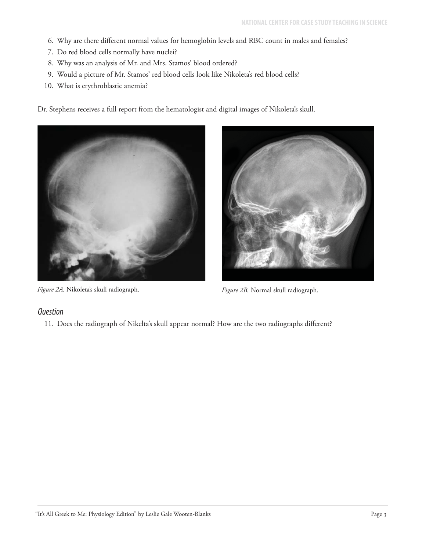- 6. Why are there different normal values for hemoglobin levels and RBC count in males and females?
- 7. Do red blood cells normally have nuclei?
- 8. Why was an analysis of Mr. and Mrs. Stamos' blood ordered?
- 9. Would a picture of Mr. Stamos' red blood cells look like Nikoleta's red blood cells?
- 10. What is erythroblastic anemia?

Dr. Stephens receives a full report from the hematologist and digital images of Nikoleta's skull.



*Figure 2A.* Nikoleta's skull radiograph. *Figure 2B.* Normal skull radiograph.

# **Question**

11. Does the radiograph of Nikelta's skull appear normal? How are the two radiographs different?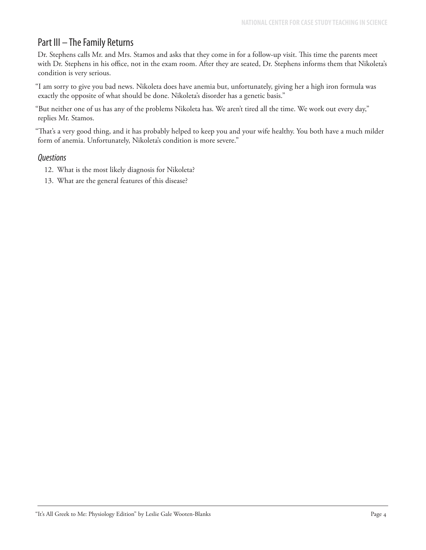# Part III – The Family Returns

Dr. Stephens calls Mr. and Mrs. Stamos and asks that they come in for a follow-up visit. This time the parents meet with Dr. Stephens in his office, not in the exam room. After they are seated, Dr. Stephens informs them that Nikoleta's condition is very serious.

"I am sorry to give you bad news. Nikoleta does have anemia but, unfortunately, giving her a high iron formula was exactly the opposite of what should be done. Nikoleta's disorder has a genetic basis."

"But neither one of us has any of the problems Nikoleta has. We aren't tired all the time. We work out every day," replies Mr. Stamos.

"That's a very good thing, and it has probably helped to keep you and your wife healthy. You both have a much milder form of anemia. Unfortunately, Nikoleta's condition is more severe."

#### **Questions**

- 12. What is the most likely diagnosis for Nikoleta?
- 13. What are the general features of this disease?